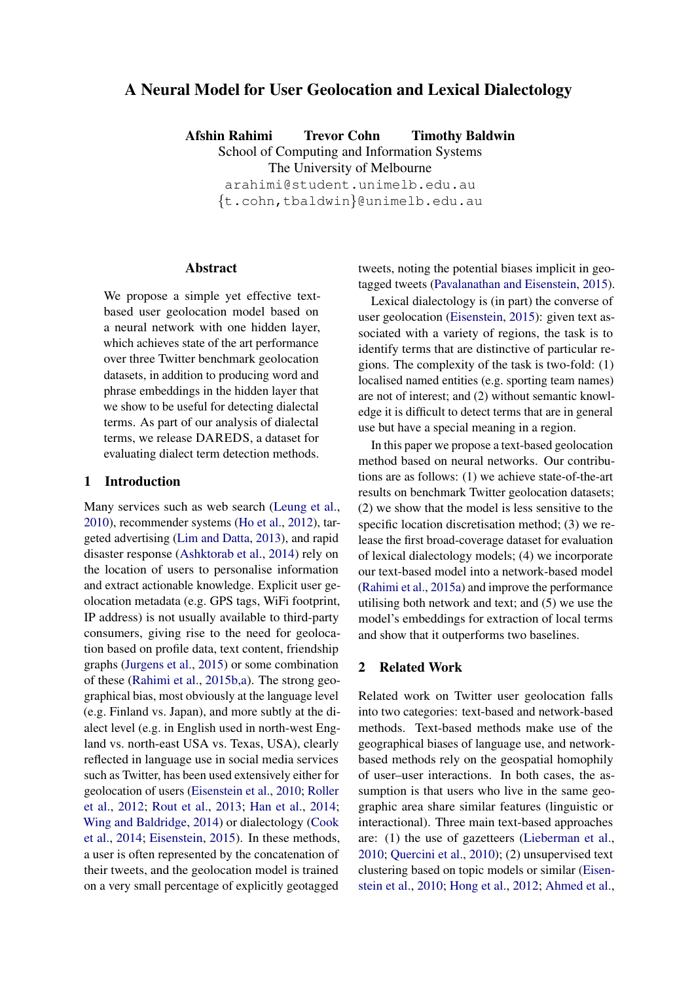# A Neural Model for User Geolocation and Lexical Dialectology

Afshin Rahimi Trevor Cohn Timothy Baldwin School of Computing and Information Systems The University of Melbourne arahimi@student.unimelb.edu.au

{t.cohn,tbaldwin}@unimelb.edu.au

#### Abstract

We propose a simple yet effective textbased user geolocation model based on a neural network with one hidden layer, which achieves state of the art performance over three Twitter benchmark geolocation datasets, in addition to producing word and phrase embeddings in the hidden layer that we show to be useful for detecting dialectal terms. As part of our analysis of dialectal terms, we release DAREDS, a dataset for evaluating dialect term detection methods.

## 1 Introduction

Many services such as web search (Leung et al., 2010), recommender systems (Ho et al., 2012), targeted advertising (Lim and Datta, 2013), and rapid disaster response (Ashktorab et al., 2014) rely on the location of users to personalise information and extract actionable knowledge. Explicit user geolocation metadata (e.g. GPS tags, WiFi footprint, IP address) is not usually available to third-party consumers, giving rise to the need for geolocation based on profile data, text content, friendship graphs (Jurgens et al., 2015) or some combination of these (Rahimi et al., 2015b,a). The strong geographical bias, most obviously at the language level (e.g. Finland vs. Japan), and more subtly at the dialect level (e.g. in English used in north-west England vs. north-east USA vs. Texas, USA), clearly reflected in language use in social media services such as Twitter, has been used extensively either for geolocation of users (Eisenstein et al., 2010; Roller et al., 2012; Rout et al., 2013; Han et al., 2014; Wing and Baldridge, 2014) or dialectology (Cook et al., 2014; Eisenstein, 2015). In these methods, a user is often represented by the concatenation of their tweets, and the geolocation model is trained on a very small percentage of explicitly geotagged

tweets, noting the potential biases implicit in geotagged tweets (Pavalanathan and Eisenstein, 2015).

Lexical dialectology is (in part) the converse of user geolocation (Eisenstein, 2015): given text associated with a variety of regions, the task is to identify terms that are distinctive of particular regions. The complexity of the task is two-fold: (1) localised named entities (e.g. sporting team names) are not of interest; and (2) without semantic knowledge it is difficult to detect terms that are in general use but have a special meaning in a region.

In this paper we propose a text-based geolocation method based on neural networks. Our contributions are as follows: (1) we achieve state-of-the-art results on benchmark Twitter geolocation datasets; (2) we show that the model is less sensitive to the specific location discretisation method; (3) we release the first broad-coverage dataset for evaluation of lexical dialectology models; (4) we incorporate our text-based model into a network-based model (Rahimi et al., 2015a) and improve the performance utilising both network and text; and (5) we use the model's embeddings for extraction of local terms and show that it outperforms two baselines.

#### 2 Related Work

Related work on Twitter user geolocation falls into two categories: text-based and network-based methods. Text-based methods make use of the geographical biases of language use, and networkbased methods rely on the geospatial homophily of user–user interactions. In both cases, the assumption is that users who live in the same geographic area share similar features (linguistic or interactional). Three main text-based approaches are: (1) the use of gazetteers (Lieberman et al., 2010; Quercini et al., 2010); (2) unsupervised text clustering based on topic models or similar (Eisenstein et al., 2010; Hong et al., 2012; Ahmed et al.,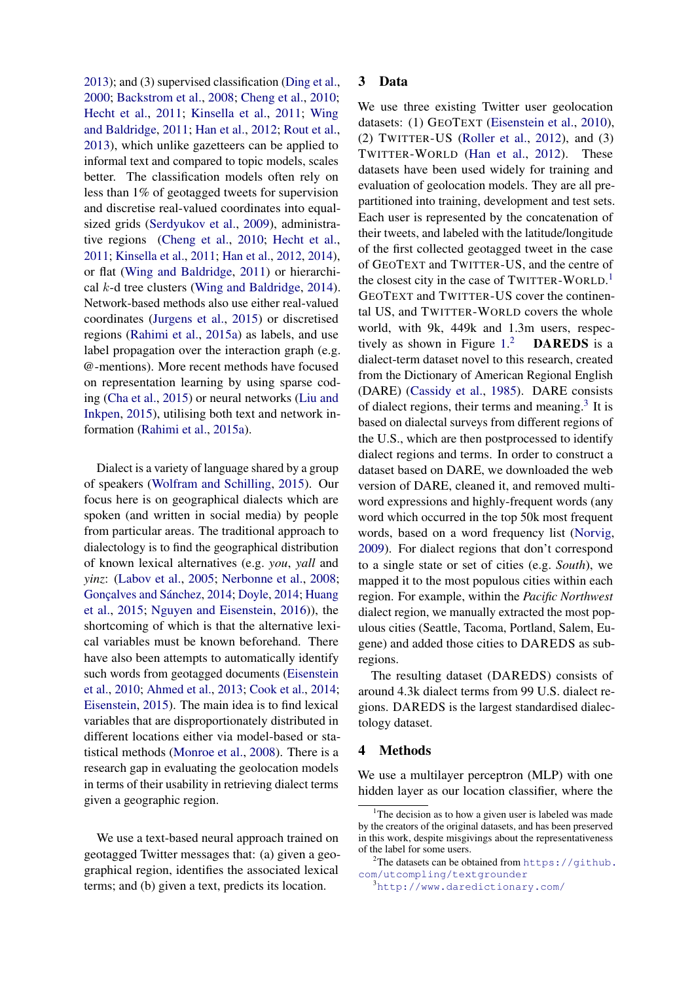2013); and (3) supervised classification (Ding et al., 2000; Backstrom et al., 2008; Cheng et al., 2010; Hecht et al., 2011; Kinsella et al., 2011; Wing and Baldridge, 2011; Han et al., 2012; Rout et al., 2013), which unlike gazetteers can be applied to informal text and compared to topic models, scales better. The classification models often rely on less than 1% of geotagged tweets for supervision and discretise real-valued coordinates into equalsized grids (Serdyukov et al., 2009), administrative regions (Cheng et al., 2010; Hecht et al., 2011; Kinsella et al., 2011; Han et al., 2012, 2014), or flat (Wing and Baldridge, 2011) or hierarchical  $k$ -d tree clusters (Wing and Baldridge, 2014). Network-based methods also use either real-valued coordinates (Jurgens et al., 2015) or discretised regions (Rahimi et al., 2015a) as labels, and use label propagation over the interaction graph (e.g. @-mentions). More recent methods have focused on representation learning by using sparse coding (Cha et al., 2015) or neural networks (Liu and Inkpen, 2015), utilising both text and network information (Rahimi et al., 2015a).

Dialect is a variety of language shared by a group of speakers (Wolfram and Schilling, 2015). Our focus here is on geographical dialects which are spoken (and written in social media) by people from particular areas. The traditional approach to dialectology is to find the geographical distribution of known lexical alternatives (e.g. *you*, *yall* and *yinz*: (Labov et al., 2005; Nerbonne et al., 2008; Goncalves and Sánchez, 2014; Doyle, 2014; Huang et al., 2015; Nguyen and Eisenstein, 2016)), the shortcoming of which is that the alternative lexical variables must be known beforehand. There have also been attempts to automatically identify such words from geotagged documents (Eisenstein et al., 2010; Ahmed et al., 2013; Cook et al., 2014; Eisenstein, 2015). The main idea is to find lexical variables that are disproportionately distributed in different locations either via model-based or statistical methods (Monroe et al., 2008). There is a research gap in evaluating the geolocation models in terms of their usability in retrieving dialect terms given a geographic region.

We use a text-based neural approach trained on geotagged Twitter messages that: (a) given a geographical region, identifies the associated lexical terms; and (b) given a text, predicts its location.

## 3 Data

We use three existing Twitter user geolocation datasets: (1) GEOTEXT (Eisenstein et al., 2010), (2) TWITTER-US (Roller et al., 2012), and (3) TWITTER-WORLD (Han et al., 2012). These datasets have been used widely for training and evaluation of geolocation models. They are all prepartitioned into training, development and test sets. Each user is represented by the concatenation of their tweets, and labeled with the latitude/longitude of the first collected geotagged tweet in the case of GEOTEXT and TWITTER-US, and the centre of the closest city in the case of TWITTER-WORLD.<sup>1</sup> GEOTEXT and TWITTER-US cover the continental US, and TWITTER-WORLD covers the whole world, with 9k, 449k and 1.3m users, respectively as shown in Figure 1. DAREDS is a dialect-term dataset novel to this research, created from the Dictionary of American Regional English (DARE) (Cassidy et al., 1985). DARE consists of dialect regions, their terms and meaning. $3$  It is based on dialectal surveys from different regions of the U.S., which are then postprocessed to identify dialect regions and terms. In order to construct a dataset based on DARE, we downloaded the web version of DARE, cleaned it, and removed multiword expressions and highly-frequent words (any word which occurred in the top 50k most frequent words, based on a word frequency list (Norvig, 2009). For dialect regions that don't correspond to a single state or set of cities (e.g. *South*), we mapped it to the most populous cities within each region. For example, within the *Paci*fi*c Northwest* dialect region, we manually extracted the most populous cities (Seattle, Tacoma, Portland, Salem, Eugene) and added those cities to DAREDS as subregions.

The resulting dataset (DAREDS) consists of around 4.3k dialect terms from 99 U.S. dialect regions. DAREDS is the largest standardised dialectology dataset.

## 4 Methods

We use a multilayer perceptron (MLP) with one hidden layer as our location classifier, where the

<sup>&</sup>lt;sup>1</sup>The decision as to how a given user is labeled was made by the creators of the original datasets, and has been preserved in this work, despite misgivings about the representativeness of the label for some users.

 $2$ The datasets can be obtained from https://github. com/utcompling/textgrounder

<sup>3</sup>http://www.daredictionary.com/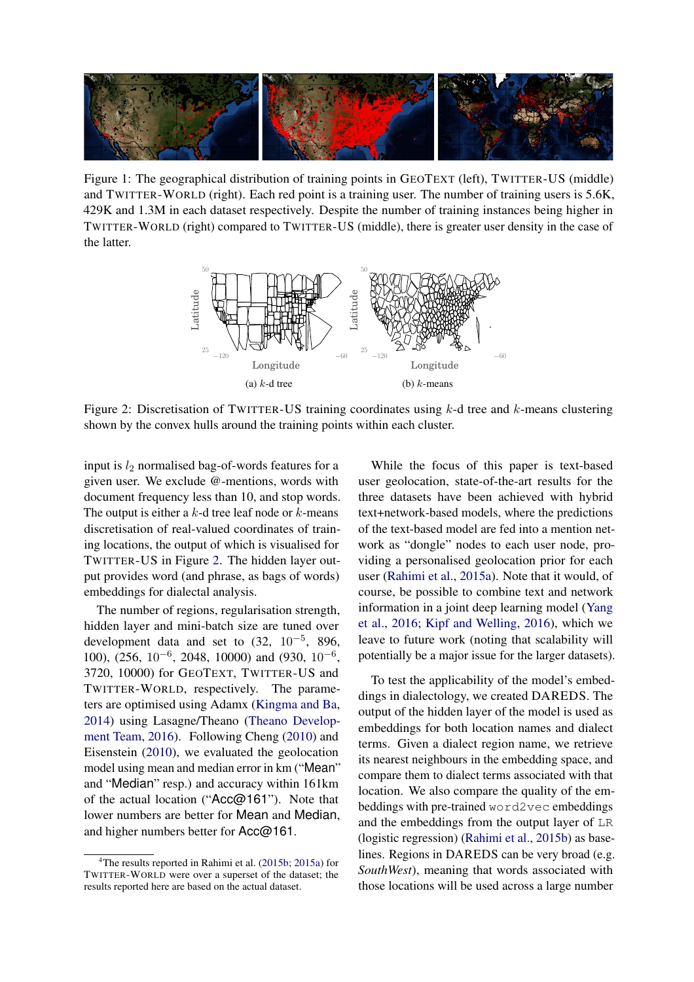

Figure 1: The geographical distribution of training points in GEOTEXT (left), TWITTER-US (middle) and TWITTER-WORLD (right). Each red point is a training user. The number of training users is 5.6K, 429K and 1.3M in each dataset respectively. Despite the number of training instances being higher in TWITTER-WORLD (right) compared to TWITTER-US (middle), there is greater user density in the case of the latter.



Figure 2: Discretisation of TWITTER-US training coordinates using  $k$ -d tree and  $k$ -means clustering shown by the convex hulls around the training points within each cluster.

input is  $l_2$  normalised bag-of-words features for a given user. We exclude @-mentions, words with document frequency less than 10, and stop words. The output is either a  $k$ -d tree leaf node or  $k$ -means discretisation of real-valued coordinates of training locations, the output of which is visualised for TWITTER-US in Figure 2. The hidden layer output provides word (and phrase, as bags of words) embeddings for dialectal analysis.

The number of regions, regularisation strength, hidden layer and mini-batch size are tuned over development data and set to  $(32, 10^{-5}, 896,$ 100), (256, 10−<sup>6</sup> , 2048, 10000) and (930, 10−<sup>6</sup> , 3720, 10000) for GEOTEXT, TWITTER-US and TWITTER-WORLD, respectively. The parameters are optimised using Adamx (Kingma and Ba, 2014) using Lasagne/Theano (Theano Development Team, 2016). Following Cheng (2010) and Eisenstein (2010), we evaluated the geolocation model using mean and median error in km ("Mean" and "Median" resp.) and accuracy within 161km of the actual location ("Acc@161"). Note that lower numbers are better for Mean and Median, and higher numbers better for Acc@161.

While the focus of this paper is text-based user geolocation, state-of-the-art results for the three datasets have been achieved with hybrid text+network-based models, where the predictions of the text-based model are fed into a mention network as "dongle" nodes to each user node, providing a personalised geolocation prior for each user (Rahimi et al., 2015a). Note that it would, of course, be possible to combine text and network information in a joint deep learning model (Yang et al., 2016; Kipf and Welling, 2016), which we leave to future work (noting that scalability will potentially be a major issue for the larger datasets).

To test the applicability of the model's embeddings in dialectology, we created DAREDS. The output of the hidden layer of the model is used as embeddings for both location names and dialect terms. Given a dialect region name, we retrieve its nearest neighbours in the embedding space, and compare them to dialect terms associated with that location. We also compare the quality of the embeddings with pre-trained word2vec embeddings and the embeddings from the output layer of LR (logistic regression) (Rahimi et al., 2015b) as baselines. Regions in DAREDS can be very broad (e.g. *SouthWest*), meaning that words associated with those locations will be used across a large number

<sup>&</sup>lt;sup>4</sup>The results reported in Rahimi et al.  $(2015b; 2015a)$  for TWITTER-WORLD were over a superset of the dataset; the results reported here are based on the actual dataset.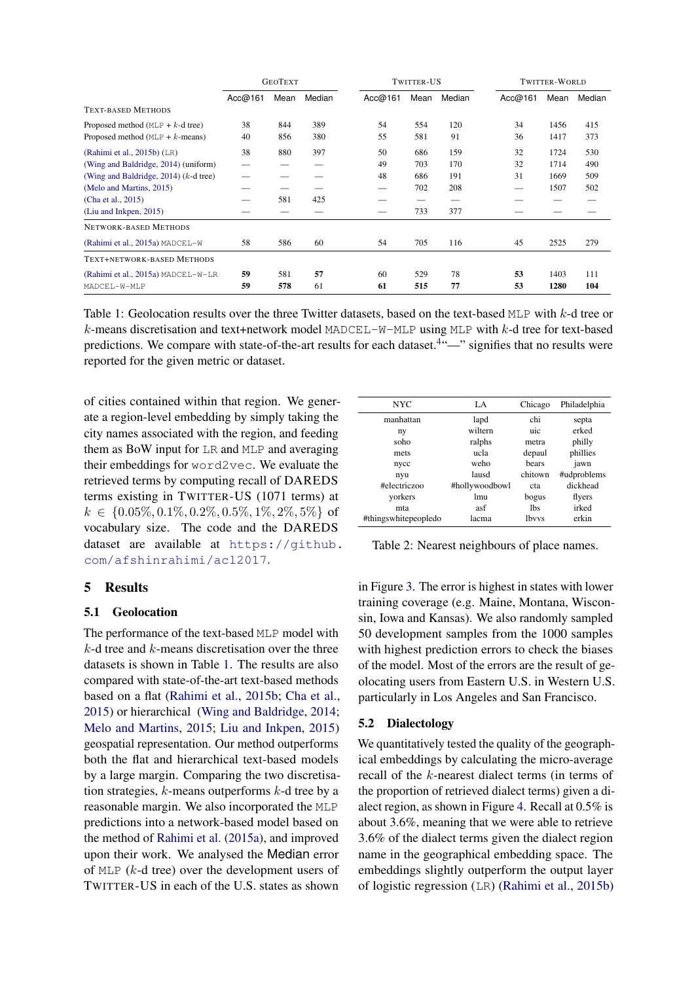|                                         | <b>GEOTEXT</b> |      | TWITTER-US |         |      | TWITTER-WORLD |         |      |        |
|-----------------------------------------|----------------|------|------------|---------|------|---------------|---------|------|--------|
|                                         | Acc@161        | Mean | Median     | Acc@161 | Mean | Median        | Acc@161 | Mean | Median |
| <b>TEXT-BASED METHODS</b>               |                |      |            |         |      |               |         |      |        |
| Proposed method ( $MLP + k$ -d tree)    | 38             | 844  | 389        | 54      | 554  | 120           | 34      | 1456 | 415    |
| Proposed method ( $MLP + k$ -means)     | 40             | 856  | 380        | 55      | 581  | 91            | 36      | 1417 | 373    |
| (Rahimi et al., $2015b$ ) (LR)          | 38             | 880  | 397        | 50      | 686  | 159           | 32      | 1724 | 530    |
| (Wing and Baldridge, 2014) (uniform)    |                |      |            | 49      | 703  | 170           | 32      | 1714 | 490    |
| (Wing and Baldridge, 2014) $(k-d$ tree) |                |      |            | 48      | 686  | 191           | 31      | 1669 | 509    |
| (Melo and Martins, 2015)                |                |      |            | —       | 702  | 208           |         | 1507 | 502    |
| (Cha et al., 2015)                      |                | 581  | 425        |         | —    |               |         |      |        |
| (Liu and Inkpen, 2015)                  |                |      |            |         | 733  | 377           |         |      |        |
| NETWORK-BASED METHODS                   |                |      |            |         |      |               |         |      |        |
| (Rahimi et al., 2015a) MADCEL-W         | 58             | 586  | 60         | 54      | 705  | 116           | 45      | 2525 | 279    |
| TEXT+NETWORK-BASED METHODS              |                |      |            |         |      |               |         |      |        |
| (Rahimi et al., 2015a) MADCEL-W-LR      | 59             | 581  | 57         | 60      | 529  | 78            | 53      | 1403 | 111    |
| MADCEL-W-MLP                            | 59             | 578  | 61         | 61      | 515  | 77            | 53      | 1280 | 104    |

Table 1: Geolocation results over the three Twitter datasets, based on the text-based MLP with k-d tree or  $k$ -means discretisation and text+network model MADCEL-W-MLP using MLP with  $k$ -d tree for text-based predictions. We compare with state-of-the-art results for each dataset.<sup>4.42</sup> signifies that no results were reported for the given metric or dataset.

of cities contained within that region. We generate a region-level embedding by simply taking the city names associated with the region, and feeding them as BoW input for LR and MLP and averaging their embeddings for word2vec. We evaluate the retrieved terms by computing recall of DAREDS terms existing in TWITTER-US (1071 terms) at  $k \in \{0.05\%, 0.1\%, 0.2\%, 0.5\%, 1\%, 2\%, 5\%\}\$  of vocabulary size. The code and the DAREDS dataset are available at https://github. com/afshinrahimi/acl2017.

## 5 Results

## 5.1 Geolocation

The performance of the text-based MLP model with  $k$ -d tree and  $k$ -means discretisation over the three datasets is shown in Table 1. The results are also compared with state-of-the-art text-based methods based on a flat (Rahimi et al., 2015b; Cha et al., 2015) or hierarchical (Wing and Baldridge, 2014; Melo and Martins, 2015; Liu and Inkpen, 2015) geospatial representation. Our method outperforms both the flat and hierarchical text-based models by a large margin. Comparing the two discretisation strategies,  $k$ -means outperforms  $k$ -d tree by a reasonable margin. We also incorporated the MLP predictions into a network-based model based on the method of Rahimi et al. (2015a), and improved upon their work. We analysed the Median error of MLP (k-d tree) over the development users of TWITTER-US in each of the U.S. states as shown

| <b>NYC</b>           | LA.             | Chicago      | Philadelphia |
|----------------------|-----------------|--------------|--------------|
| manhattan            | lapd            | chi          | septa        |
| ny                   | wiltern         | uic          | erked        |
| soho                 | ralphs          | metra        | philly       |
| mets                 | ucla            | depaul       | phillies     |
| nycc                 | weho            | bears        | jawn         |
| nyu                  | lausd           | chitown      | #udproblems  |
| #electriczoo         | #hollywoodbowl  | cta          | dickhead     |
| yorkers              | 1 <sub>mu</sub> | bogus        | flyers       |
| mta                  | asf             | 1bs          | irked        |
| #thingswhitepeopledo | lacma           | <b>lbvys</b> | erkin        |

Table 2: Nearest neighbours of place names.

in Figure 3. The error is highest in states with lower training coverage (e.g. Maine, Montana, Wisconsin, Iowa and Kansas). We also randomly sampled 50 development samples from the 1000 samples with highest prediction errors to check the biases of the model. Most of the errors are the result of geolocating users from Eastern U.S. in Western U.S. particularly in Los Angeles and San Francisco.

## 5.2 Dialectology

We quantitatively tested the quality of the geographical embeddings by calculating the micro-average recall of the k-nearest dialect terms (in terms of the proportion of retrieved dialect terms) given a dialect region, as shown in Figure 4. Recall at 0.5% is about 3.6%, meaning that we were able to retrieve 3.6% of the dialect terms given the dialect region name in the geographical embedding space. The embeddings slightly outperform the output layer of logistic regression (LR) (Rahimi et al., 2015b)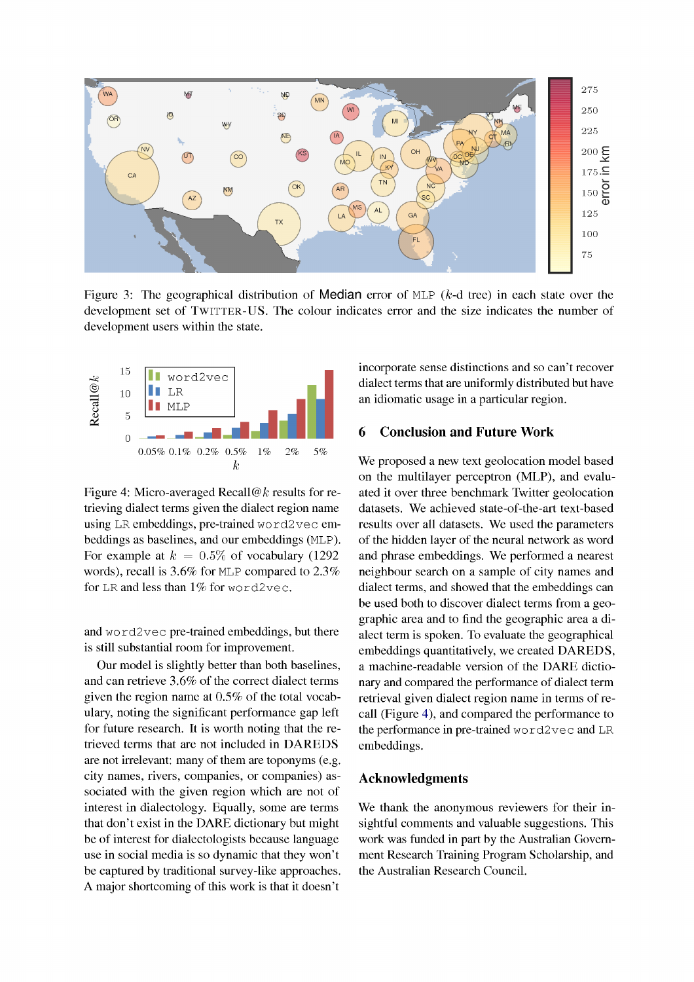

Figure 3: The geographical distribution of Median error of MLP ( $k$ -d tree) in each state over the development set of TWITTER-US. The colour indicates error and the size indicates the number of development users within the state.



Figure 4: Micro-averaged Recall@k results for retrieving dialect terms given the dialect region name using LR embeddings, pre-trained word2vec embeddings as baselines, and our embeddings (MLP). For example at  $k = 0.5\%$  of vocabulary (1292) words), recall is 3.6% for MLP compared to 2.3% for LR and less than  $1\%$  for word2vec.

and word2vec pre-trained embeddings, but there is still substantial room for improvement.

Our model is slightly better than both baselines, and can retrieve 3.6% of the correct dialect terms given the region name at  $0.5\%$  of the total vocabulary, noting the significant performance gap left for future research. It is worth noting that the retrieved terms that are not included in DAREDS are not irrelevant: many of them are toponyms (e.g. city names, rivers, companies, or companies) associated with the given region which are not of interest in dialectology. Equally, some are terms that don't exist in the DARE dictionary but might be of interest for dialectologists because language use in social media is so dynamic that they won't be captured by traditional survey-like approaches. A major shortcoming of this work is that it doesn't

incorporate sense distinctions and so can't recover dialect terms that are uniformly distributed but have an idiomatic usage in a particular region.

#### **Conclusion and Future Work** 6

We proposed a new text geolocation model based on the multilayer perceptron (MLP), and evaluated it over three benchmark Twitter geolocation datasets. We achieved state-of-the-art text-based results over all datasets. We used the parameters of the hidden layer of the neural network as word and phrase embeddings. We performed a nearest neighbour search on a sample of city names and dialect terms, and showed that the embeddings can be used both to discover dialect terms from a geographic area and to find the geographic area a dialect term is spoken. To evaluate the geographical embeddings quantitatively, we created DAREDS, a machine-readable version of the DARE dictionary and compared the performance of dialect term retrieval given dialect region name in terms of recall (Figure 4), and compared the performance to the performance in pre-trained word2vec and LR embeddings.

### **Acknowledgments**

We thank the anonymous reviewers for their insightful comments and valuable suggestions. This work was funded in part by the Australian Government Research Training Program Scholarship, and the Australian Research Council.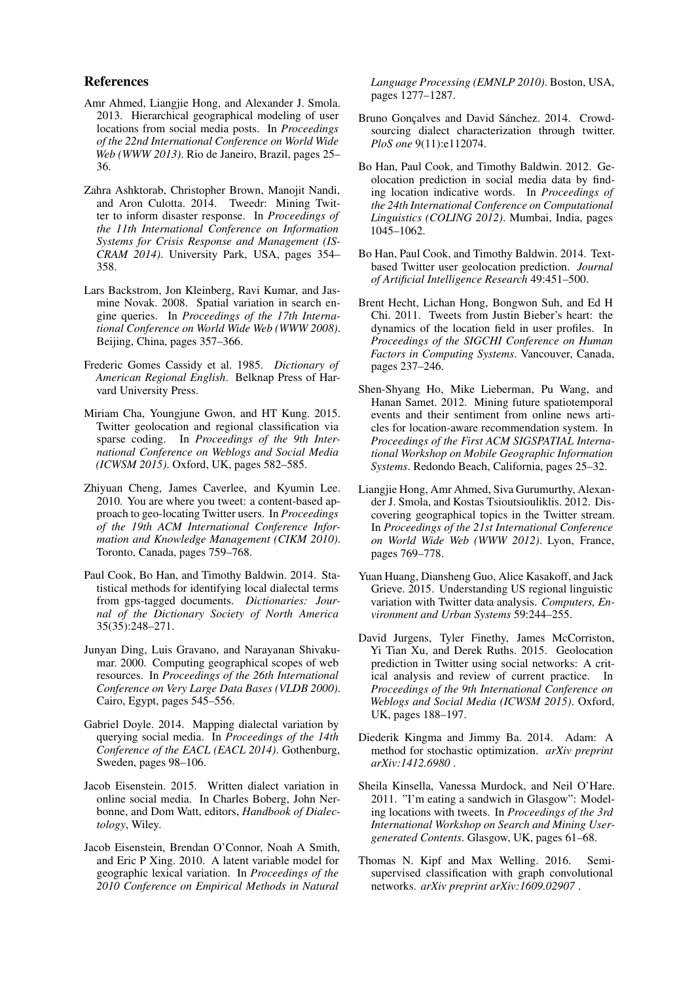### References

- Amr Ahmed, Liangjie Hong, and Alexander J. Smola. 2013. Hierarchical geographical modeling of user locations from social media posts. In *Proceedings of the 22nd International Conference on World Wide Web (WWW 2013)*. Rio de Janeiro, Brazil, pages 25– 36.
- Zahra Ashktorab, Christopher Brown, Manojit Nandi, and Aron Culotta. 2014. Tweedr: Mining Twitter to inform disaster response. In *Proceedings of the 11th International Conference on Information Systems for Crisis Response and Management (IS-CRAM 2014)*. University Park, USA, pages 354– 358.
- Lars Backstrom, Jon Kleinberg, Ravi Kumar, and Jasmine Novak. 2008. Spatial variation in search engine queries. In *Proceedings of the 17th International Conference on World Wide Web (WWW 2008)*. Beijing, China, pages 357–366.
- Frederic Gomes Cassidy et al. 1985. *Dictionary of American Regional English*. Belknap Press of Harvard University Press.
- Miriam Cha, Youngjune Gwon, and HT Kung. 2015. Twitter geolocation and regional classification via sparse coding. In *Proceedings of the 9th International Conference on Weblogs and Social Media (ICWSM 2015)*. Oxford, UK, pages 582–585.
- Zhiyuan Cheng, James Caverlee, and Kyumin Lee. 2010. You are where you tweet: a content-based approach to geo-locating Twitter users. In *Proceedings of the 19th ACM International Conference Information and Knowledge Management (CIKM 2010)*. Toronto, Canada, pages 759–768.
- Paul Cook, Bo Han, and Timothy Baldwin. 2014. Statistical methods for identifying local dialectal terms from gps-tagged documents. *Dictionaries: Journal of the Dictionary Society of North America* 35(35):248–271.
- Junyan Ding, Luis Gravano, and Narayanan Shivakumar. 2000. Computing geographical scopes of web resources. In *Proceedings of the 26th International Conference on Very Large Data Bases (VLDB 2000)*. Cairo, Egypt, pages 545–556.
- Gabriel Doyle. 2014. Mapping dialectal variation by querying social media. In *Proceedings of the 14th Conference of the EACL (EACL 2014)*. Gothenburg, Sweden, pages 98–106.
- Jacob Eisenstein. 2015. Written dialect variation in online social media. In Charles Boberg, John Nerbonne, and Dom Watt, editors, *Handbook of Dialectology*, Wiley.
- Jacob Eisenstein, Brendan O'Connor, Noah A Smith, and Eric P Xing. 2010. A latent variable model for geographic lexical variation. In *Proceedings of the 2010 Conference on Empirical Methods in Natural*

*Language Processing (EMNLP 2010)*. Boston, USA, pages 1277–1287.

- Bruno Gonçalves and David Sánchez. 2014. Crowdsourcing dialect characterization through twitter. *PloS one* 9(11):e112074.
- Bo Han, Paul Cook, and Timothy Baldwin. 2012. Geolocation prediction in social media data by finding location indicative words. In *Proceedings of the 24th International Conference on Computational Linguistics (COLING 2012)*. Mumbai, India, pages 1045–1062.
- Bo Han, Paul Cook, and Timothy Baldwin. 2014. Textbased Twitter user geolocation prediction. *Journal of Arti*fi*cial Intelligence Research* 49:451–500.
- Brent Hecht, Lichan Hong, Bongwon Suh, and Ed H Chi. 2011. Tweets from Justin Bieber's heart: the dynamics of the location field in user profiles. In *Proceedings of the SIGCHI Conference on Human Factors in Computing Systems*. Vancouver, Canada, pages 237–246.
- Shen-Shyang Ho, Mike Lieberman, Pu Wang, and Hanan Samet. 2012. Mining future spatiotemporal events and their sentiment from online news articles for location-aware recommendation system. In *Proceedings of the First ACM SIGSPATIAL International Workshop on Mobile Geographic Information Systems*. Redondo Beach, California, pages 25–32.
- Liangjie Hong, Amr Ahmed, Siva Gurumurthy, Alexander J. Smola, and Kostas Tsioutsiouliklis. 2012. Discovering geographical topics in the Twitter stream. In *Proceedings of the 21st International Conference on World Wide Web (WWW 2012)*. Lyon, France, pages 769–778.
- Yuan Huang, Diansheng Guo, Alice Kasakoff, and Jack Grieve. 2015. Understanding US regional linguistic variation with Twitter data analysis. *Computers, Environment and Urban Systems* 59:244–255.
- David Jurgens, Tyler Finethy, James McCorriston, Yi Tian Xu, and Derek Ruths. 2015. Geolocation prediction in Twitter using social networks: A critical analysis and review of current practice. In *Proceedings of the 9th International Conference on Weblogs and Social Media (ICWSM 2015)*. Oxford, UK, pages 188–197.
- Diederik Kingma and Jimmy Ba. 2014. Adam: A method for stochastic optimization. *arXiv preprint arXiv:1412.6980* .
- Sheila Kinsella, Vanessa Murdock, and Neil O'Hare. 2011. "I'm eating a sandwich in Glasgow": Modeling locations with tweets. In *Proceedings of the 3rd International Workshop on Search and Mining Usergenerated Contents*. Glasgow, UK, pages 61–68.
- Thomas N. Kipf and Max Welling. 2016. Semisupervised classification with graph convolutional networks. *arXiv preprint arXiv:1609.02907* .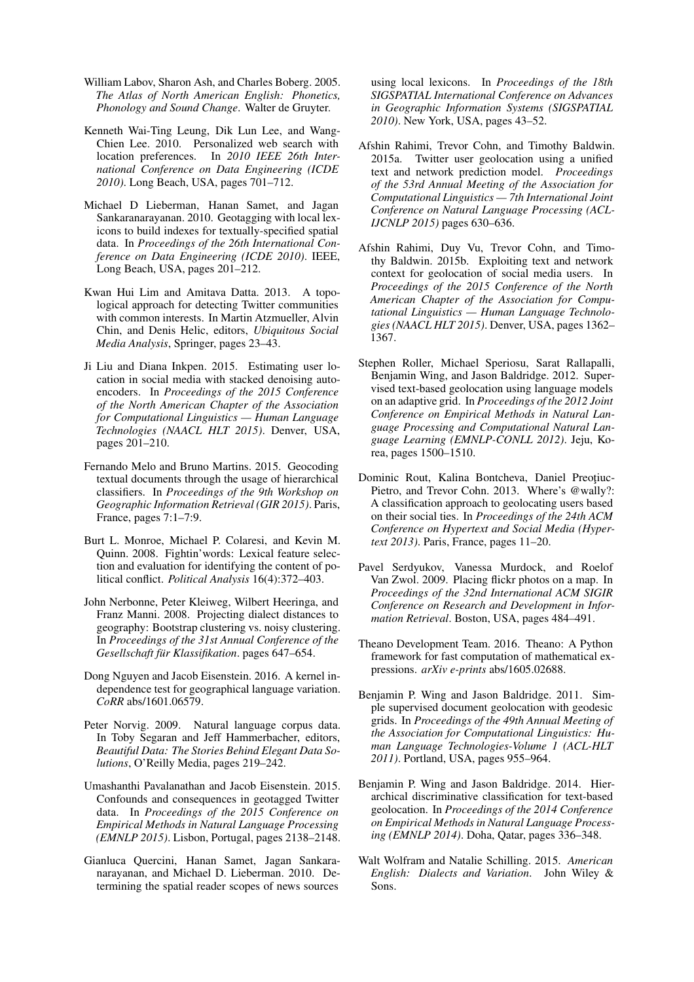- William Labov, Sharon Ash, and Charles Boberg. 2005. *The Atlas of North American English: Phonetics, Phonology and Sound Change*. Walter de Gruyter.
- Kenneth Wai-Ting Leung, Dik Lun Lee, and Wang-Chien Lee. 2010. Personalized web search with location preferences. In *2010 IEEE 26th International Conference on Data Engineering (ICDE 2010)*. Long Beach, USA, pages 701–712.
- Michael D Lieberman, Hanan Samet, and Jagan Sankaranarayanan. 2010. Geotagging with local lexicons to build indexes for textually-specified spatial data. In *Proceedings of the 26th International Conference on Data Engineering (ICDE 2010)*. IEEE, Long Beach, USA, pages 201–212.
- Kwan Hui Lim and Amitava Datta. 2013. A topological approach for detecting Twitter communities with common interests. In Martin Atzmueller, Alvin Chin, and Denis Helic, editors, *Ubiquitous Social Media Analysis*, Springer, pages 23–43.
- Ji Liu and Diana Inkpen. 2015. Estimating user location in social media with stacked denoising autoencoders. In *Proceedings of the 2015 Conference of the North American Chapter of the Association for Computational Linguistics — Human Language Technologies (NAACL HLT 2015)*. Denver, USA, pages 201–210.
- Fernando Melo and Bruno Martins. 2015. Geocoding textual documents through the usage of hierarchical classifiers. In *Proceedings of the 9th Workshop on Geographic Information Retrieval (GIR 2015)*. Paris, France, pages 7:1–7:9.
- Burt L. Monroe, Michael P. Colaresi, and Kevin M. Quinn. 2008. Fightin'words: Lexical feature selection and evaluation for identifying the content of political conflict. *Political Analysis* 16(4):372–403.
- John Nerbonne, Peter Kleiweg, Wilbert Heeringa, and Franz Manni. 2008. Projecting dialect distances to geography: Bootstrap clustering vs. noisy clustering. In *Proceedings of the 31st Annual Conference of the Gesellschaft für Klassifikation.* pages 647–654.
- Dong Nguyen and Jacob Eisenstein. 2016. A kernel independence test for geographical language variation. *CoRR* abs/1601.06579.
- Peter Norvig. 2009. Natural language corpus data. In Toby Segaran and Jeff Hammerbacher, editors, *Beautiful Data: The Stories Behind Elegant Data Solutions*, O'Reilly Media, pages 219–242.
- Umashanthi Pavalanathan and Jacob Eisenstein. 2015. Confounds and consequences in geotagged Twitter data. In *Proceedings of the 2015 Conference on Empirical Methods in Natural Language Processing (EMNLP 2015)*. Lisbon, Portugal, pages 2138–2148.
- Gianluca Quercini, Hanan Samet, Jagan Sankaranarayanan, and Michael D. Lieberman. 2010. Determining the spatial reader scopes of news sources

using local lexicons. In *Proceedings of the 18th SIGSPATIAL International Conference on Advances in Geographic Information Systems (SIGSPATIAL 2010)*. New York, USA, pages 43–52.

- Afshin Rahimi, Trevor Cohn, and Timothy Baldwin. 2015a. Twitter user geolocation using a unified text and network prediction model. *Proceedings of the 53rd Annual Meeting of the Association for Computational Linguistics — 7th International Joint Conference on Natural Language Processing (ACL-IJCNLP 2015)* pages 630–636.
- Afshin Rahimi, Duy Vu, Trevor Cohn, and Timothy Baldwin. 2015b. Exploiting text and network context for geolocation of social media users. In *Proceedings of the 2015 Conference of the North American Chapter of the Association for Computational Linguistics — Human Language Technologies (NAACL HLT 2015)*. Denver, USA, pages 1362– 1367.
- Stephen Roller, Michael Speriosu, Sarat Rallapalli, Benjamin Wing, and Jason Baldridge. 2012. Supervised text-based geolocation using language models on an adaptive grid. In *Proceedings of the 2012 Joint Conference on Empirical Methods in Natural Language Processing and Computational Natural Language Learning (EMNLP-CONLL 2012)*. Jeju, Korea, pages 1500–1510.
- Dominic Rout, Kalina Bontcheva, Daniel Preoțiuc-Pietro, and Trevor Cohn. 2013. Where's @wally?: A classification approach to geolocating users based on their social ties. In *Proceedings of the 24th ACM Conference on Hypertext and Social Media (Hypertext 2013)*. Paris, France, pages 11–20.
- Pavel Serdyukov, Vanessa Murdock, and Roelof Van Zwol. 2009. Placing flickr photos on a map. In *Proceedings of the 32nd International ACM SIGIR Conference on Research and Development in Information Retrieval*. Boston, USA, pages 484–491.
- Theano Development Team. 2016. Theano: A Python framework for fast computation of mathematical expressions. *arXiv e-prints* abs/1605.02688.
- Benjamin P. Wing and Jason Baldridge. 2011. Simple supervised document geolocation with geodesic grids. In *Proceedings of the 49th Annual Meeting of the Association for Computational Linguistics: Human Language Technologies-Volume 1 (ACL-HLT 2011)*. Portland, USA, pages 955–964.
- Benjamin P. Wing and Jason Baldridge. 2014. Hierarchical discriminative classification for text-based geolocation. In *Proceedings of the 2014 Conference on Empirical Methods in Natural Language Processing (EMNLP 2014)*. Doha, Qatar, pages 336–348.
- Walt Wolfram and Natalie Schilling. 2015. *American English: Dialects and Variation*. John Wiley & Sons.